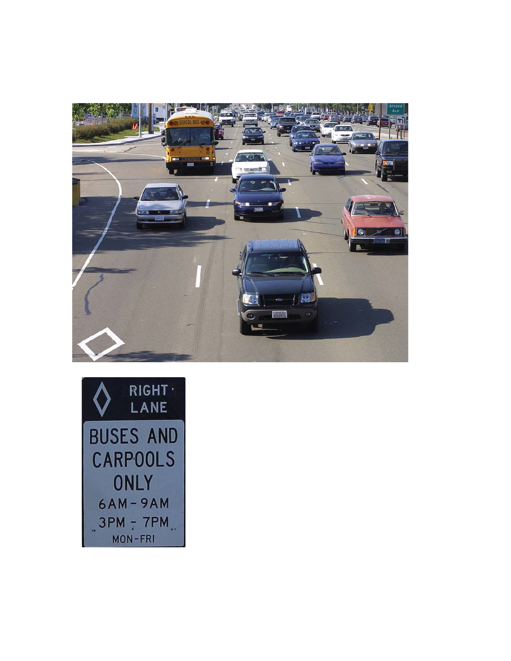

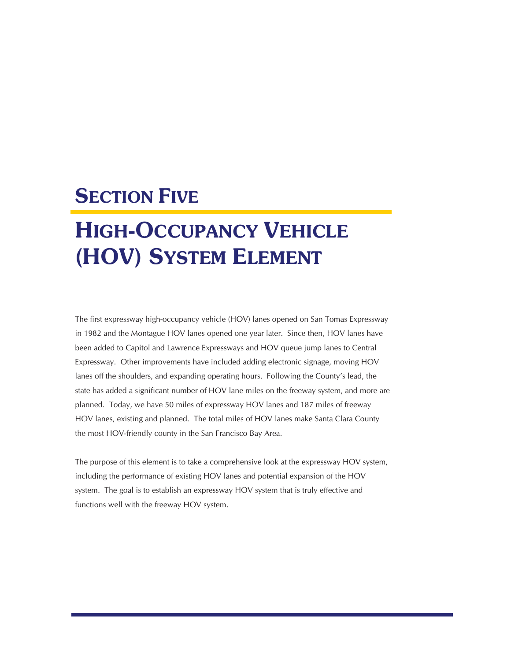# **SECTION FIVE**

# HIGH-OCCUPANCY VEHICLE (HOV) SYSTEM ELEMENT

The first expressway high-occupancy vehicle (HOV) lanes opened on San Tomas Expressway in 1982 and the Montague HOV lanes opened one year later. Since then, HOV lanes have been added to Capitol and Lawrence Expressways and HOV queue jump lanes to Central Expressway. Other improvements have included adding electronic signage, moving HOV lanes off the shoulders, and expanding operating hours. Following the County's lead, the state has added a significant number of HOV lane miles on the freeway system, and more are planned. Today, we have 50 miles of expressway HOV lanes and 187 miles of freeway HOV lanes, existing and planned. The total miles of HOV lanes make Santa Clara County the most HOV-friendly county in the San Francisco Bay Area.

The purpose of this element is to take a comprehensive look at the expressway HOV system, including the performance of existing HOV lanes and potential expansion of the HOV system. The goal is to establish an expressway HOV system that is truly effective and functions well with the freeway HOV system.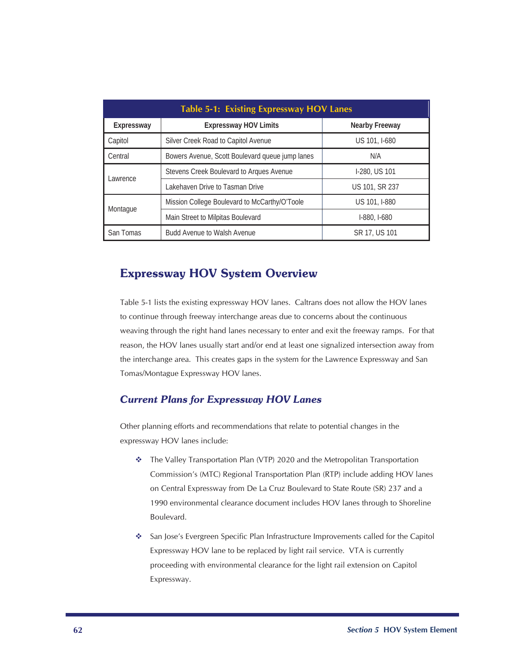| <b>Table 5-1: Existing Expressway HOV Lanes</b> |                                                 |                |  |  |  |  |
|-------------------------------------------------|-------------------------------------------------|----------------|--|--|--|--|
| Expressway                                      | <b>Expressway HOV Limits</b><br>Nearby Freeway  |                |  |  |  |  |
| Capitol                                         | Silver Creek Road to Capitol Avenue             | US 101, I-680  |  |  |  |  |
| Central                                         | Bowers Avenue, Scott Boulevard queue jump lanes | N/A            |  |  |  |  |
| Lawrence                                        | Stevens Creek Boulevard to Arques Avenue        | I-280, US 101  |  |  |  |  |
|                                                 | Lakehaven Drive to Tasman Drive                 | US 101, SR 237 |  |  |  |  |
| Montague                                        | Mission College Boulevard to McCarthy/O'Toole   | US 101, I-880  |  |  |  |  |
|                                                 | Main Street to Milpitas Boulevard               | $I-880. I-680$ |  |  |  |  |
| San Tomas                                       | <b>Budd Avenue to Walsh Avenue</b>              | SR 17, US 101  |  |  |  |  |

## Expressway HOV System Overview

Table 5-1 lists the existing expressway HOV lanes. Caltrans does not allow the HOV lanes to continue through freeway interchange areas due to concerns about the continuous weaving through the right hand lanes necessary to enter and exit the freeway ramps. For that reason, the HOV lanes usually start and/or end at least one signalized intersection away from the interchange area. This creates gaps in the system for the Lawrence Expressway and San Tomas/Montague Expressway HOV lanes.

#### *Current Plans for Expressway HOV Lanes*

Other planning efforts and recommendations that relate to potential changes in the expressway HOV lanes include:

- \* The Valley Transportation Plan (VTP) 2020 and the Metropolitan Transportation Commission's (MTC) Regional Transportation Plan (RTP) include adding HOV lanes on Central Expressway from De La Cruz Boulevard to State Route (SR) 237 and a 1990 environmental clearance document includes HOV lanes through to Shoreline Boulevard.
- San Jose's Evergreen Specific Plan Infrastructure Improvements called for the Capitol Expressway HOV lane to be replaced by light rail service. VTA is currently proceeding with environmental clearance for the light rail extension on Capitol Expressway.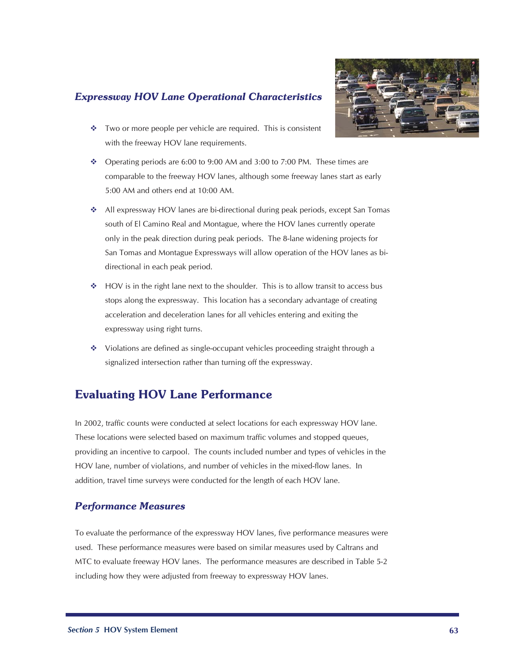#### *Expressway HOV Lane Operational Characteristics*



- \* Two or more people per vehicle are required. This is consistent with the freeway HOV lane requirements.
- Operating periods are 6:00 to 9:00 AM and 3:00 to 7:00 PM. These times are comparable to the freeway HOV lanes, although some freeway lanes start as early 5:00 AM and others end at 10:00 AM.
- All expressway HOV lanes are bi-directional during peak periods, except San Tomas south of El Camino Real and Montague, where the HOV lanes currently operate only in the peak direction during peak periods. The 8-lane widening projects for San Tomas and Montague Expressways will allow operation of the HOV lanes as bidirectional in each peak period.
- HOV is in the right lane next to the shoulder*.* This is to allow transit to access bus stops along the expressway. This location has a secondary advantage of creating acceleration and deceleration lanes for all vehicles entering and exiting the expressway using right turns.
- Violations are defined as single-occupant vehicles proceeding straight through a signalized intersection rather than turning off the expressway.

# Evaluating HOV Lane Performance

In 2002, traffic counts were conducted at select locations for each expressway HOV lane. These locations were selected based on maximum traffic volumes and stopped queues, providing an incentive to carpool. The counts included number and types of vehicles in the HOV lane, number of violations, and number of vehicles in the mixed-flow lanes. In addition, travel time surveys were conducted for the length of each HOV lane.

#### *Performance Measures*

To evaluate the performance of the expressway HOV lanes, five performance measures were used. These performance measures were based on similar measures used by Caltrans and MTC to evaluate freeway HOV lanes. The performance measures are described in Table 5-2 including how they were adjusted from freeway to expressway HOV lanes.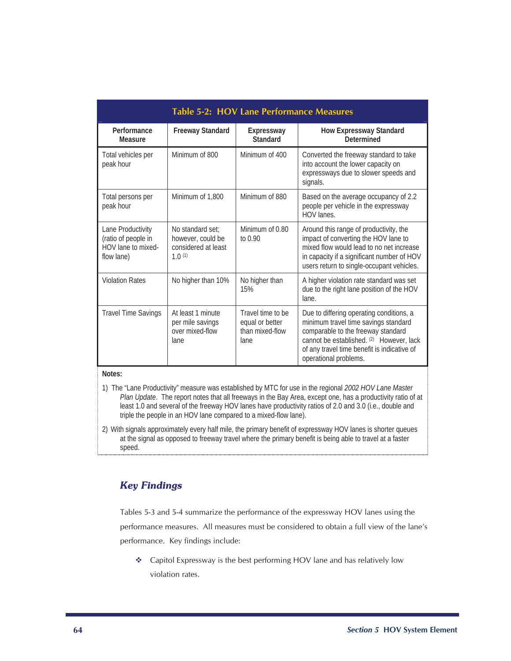| <b>Table 5-2: HOV Lane Performance Measures</b>                              |                                                                        |                                                                 |                                                                                                                                                                                                                                            |  |  |
|------------------------------------------------------------------------------|------------------------------------------------------------------------|-----------------------------------------------------------------|--------------------------------------------------------------------------------------------------------------------------------------------------------------------------------------------------------------------------------------------|--|--|
| Performance<br>Measure                                                       | <b>Freeway Standard</b>                                                | Expressway<br>Standard                                          | <b>How Expressway Standard</b><br>Determined                                                                                                                                                                                               |  |  |
| Total vehicles per<br>peak hour                                              | Minimum of 800                                                         | Minimum of 400                                                  | Converted the freeway standard to take<br>into account the lower capacity on<br>expressways due to slower speeds and<br>signals.                                                                                                           |  |  |
| Total persons per<br>peak hour                                               | Minimum of 1,800                                                       | Minimum of 880                                                  | Based on the average occupancy of 2.2<br>people per vehicle in the expressway<br>HOV lanes.                                                                                                                                                |  |  |
| Lane Productivity<br>(ratio of people in<br>HOV lane to mixed-<br>flow lane) | No standard set:<br>however, could be<br>considered at least<br>1.0(1) | Minimum of 0.80<br>to 0.90                                      | Around this range of productivity, the<br>impact of converting the HOV lane to<br>mixed flow would lead to no net increase<br>in capacity if a significant number of HOV<br>users return to single-occupant vehicles.                      |  |  |
| <b>Violation Rates</b>                                                       | No higher than 10%                                                     | No higher than<br>15%                                           | A higher violation rate standard was set<br>due to the right lane position of the HOV<br>lane.                                                                                                                                             |  |  |
| <b>Travel Time Savings</b>                                                   | At least 1 minute<br>per mile savings<br>over mixed-flow<br>lane       | Travel time to be<br>equal or better<br>than mixed-flow<br>lane | Due to differing operating conditions, a<br>minimum travel time savings standard<br>comparable to the freeway standard<br>cannot be established. (2) However, lack<br>of any travel time benefit is indicative of<br>operational problems. |  |  |

#### **Notes:**

1) The "Lane Productivity" measure was established by MTC for use in the regional *2002 HOV Lane Master Plan Update*. The report notes that all freeways in the Bay Area, except one, has a productivity ratio of at least 1.0 and several of the freeway HOV lanes have productivity ratios of 2.0 and 3.0 (i.e., double and triple the people in an HOV lane compared to a mixed-flow lane).

2) With signals approximately every half mile, the primary benefit of expressway HOV lanes is shorter queues at the signal as opposed to freeway travel where the primary benefit is being able to travel at a faster speed.

#### *Key Findings*

Tables 5-3 and 5-4 summarize the performance of the expressway HOV lanes using the performance measures. All measures must be considered to obtain a full view of the lane's performance. Key findings include:

\* Capitol Expressway is the best performing HOV lane and has relatively low violation rates.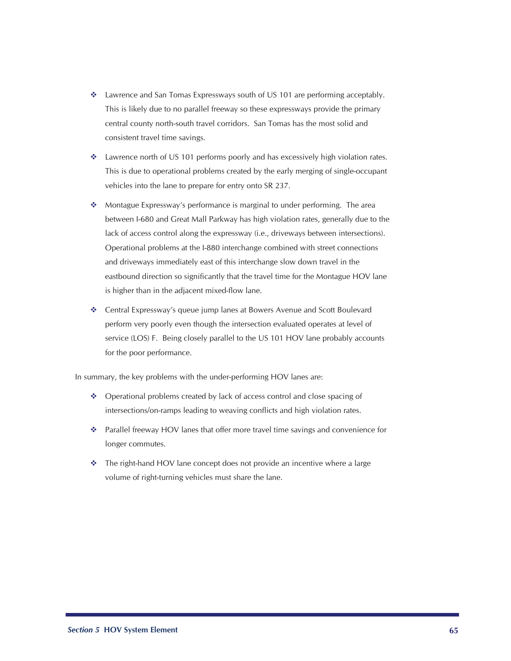- Lawrence and San Tomas Expressways south of US 101 are performing acceptably. This is likely due to no parallel freeway so these expressways provide the primary central county north-south travel corridors. San Tomas has the most solid and consistent travel time savings.
- Lawrence north of US 101 performs poorly and has excessively high violation rates. This is due to operational problems created by the early merging of single-occupant vehicles into the lane to prepare for entry onto SR 237.
- $\bullet$  Montague Expressway's performance is marginal to under performing. The area between I-680 and Great Mall Parkway has high violation rates, generally due to the lack of access control along the expressway (i.e., driveways between intersections). Operational problems at the I-880 interchange combined with street connections and driveways immediately east of this interchange slow down travel in the eastbound direction so significantly that the travel time for the Montague HOV lane is higher than in the adjacent mixed-flow lane.
- Central Expressway's queue jump lanes at Bowers Avenue and Scott Boulevard perform very poorly even though the intersection evaluated operates at level of service (LOS) F. Being closely parallel to the US 101 HOV lane probably accounts for the poor performance.

In summary, the key problems with the under-performing HOV lanes are:

- Operational problems created by lack of access control and close spacing of intersections/on-ramps leading to weaving conflicts and high violation rates.
- Parallel freeway HOV lanes that offer more travel time savings and convenience for longer commutes.
- \* The right-hand HOV lane concept does not provide an incentive where a large volume of right-turning vehicles must share the lane.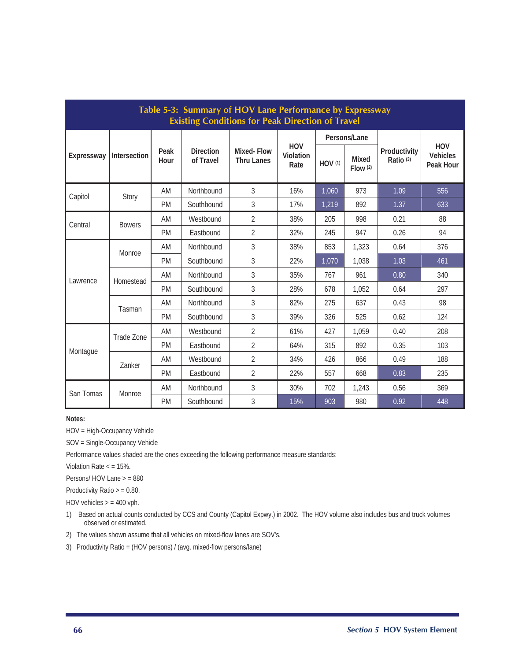| Table 5-3: Summary of HOV Lane Performance by Expressway<br><b>Existing Conditions for Peak Direction of Travel</b> |               |              |                               |                                 |                                 |              |                         |                             |                                            |
|---------------------------------------------------------------------------------------------------------------------|---------------|--------------|-------------------------------|---------------------------------|---------------------------------|--------------|-------------------------|-----------------------------|--------------------------------------------|
| Expressway                                                                                                          | Intersection  | Peak<br>Hour | <b>Direction</b><br>of Travel | Mixed-Flow<br><b>Thru Lanes</b> | <b>HOV</b><br>Violation<br>Rate | Persons/Lane |                         |                             |                                            |
|                                                                                                                     |               |              |                               |                                 |                                 | HOV (1)      | <b>Mixed</b><br>Flow(2) | Productivity<br>Ratio $(3)$ | <b>HOV</b><br><b>Vehicles</b><br>Peak Hour |
| Capitol                                                                                                             | Story         | AM           | Northbound                    | 3                               | 16%                             | 1,060        | 973                     | 1.09                        | 556                                        |
|                                                                                                                     |               | <b>PM</b>    | Southbound                    | 3                               | 17%                             | 1,219        | 892                     | 1.37                        | 633                                        |
| Central                                                                                                             | <b>Bowers</b> | AM           | Westbound                     | $\overline{2}$                  | 38%                             | 205          | 998                     | 0.21                        | 88                                         |
|                                                                                                                     |               | <b>PM</b>    | Eastbound                     | $\overline{2}$                  | 32%                             | 245          | 947                     | 0.26                        | 94                                         |
| Lawrence                                                                                                            | Monroe        | AM           | Northbound                    | 3                               | 38%                             | 853          | 1,323                   | 0.64                        | 376                                        |
|                                                                                                                     |               | <b>PM</b>    | Southbound                    | 3                               | 22%                             | 1,070        | 1,038                   | 1.03                        | 461                                        |
|                                                                                                                     | Homestead     | AM           | Northbound                    | 3                               | 35%                             | 767          | 961                     | 0.80                        | 340                                        |
|                                                                                                                     |               | <b>PM</b>    | Southbound                    | 3                               | 28%                             | 678          | 1,052                   | 0.64                        | 297                                        |
|                                                                                                                     | Tasman        | AM           | Northbound                    | 3                               | 82%                             | 275          | 637                     | 0.43                        | 98                                         |
|                                                                                                                     |               | <b>PM</b>    | Southbound                    | 3                               | 39%                             | 326          | 525                     | 0.62                        | 124                                        |
| Montague                                                                                                            | Trade Zone    | AM           | Westbound                     | $\overline{2}$                  | 61%                             | 427          | 1.059                   | 0.40                        | 208                                        |
|                                                                                                                     |               | <b>PM</b>    | Eastbound                     | $\overline{2}$                  | 64%                             | 315          | 892                     | 0.35                        | 103                                        |
|                                                                                                                     | Zanker        | AM           | Westbound                     | $\overline{2}$                  | 34%                             | 426          | 866                     | 0.49                        | 188                                        |
|                                                                                                                     |               | <b>PM</b>    | Eastbound                     | $\overline{2}$                  | 22%                             | 557          | 668                     | 0.83                        | 235                                        |
| San Tomas                                                                                                           | Monroe        | AM           | Northbound                    | 3                               | 30%                             | 702          | 1,243                   | 0.56                        | 369                                        |
|                                                                                                                     |               | <b>PM</b>    | Southbound                    | 3                               | 15%                             | 903          | 980                     | 0.92                        | 448                                        |

#### **Notes:**

HOV = High-Occupancy Vehicle

SOV = Single-Occupancy Vehicle

Performance values shaded are the ones exceeding the following performance measure standards:

Violation Rate < = 15%.

Persons/ HOV Lane > = 880

Productivity Ratio > = 0.80.

HOV vehicles  $>$  = 400 vph.

1) Based on actual counts conducted by CCS and County (Capitol Expwy.) in 2002. The HOV volume also includes bus and truck volumes observed or estimated.

2) The values shown assume that all vehicles on mixed-flow lanes are SOV's.

3) Productivity Ratio = (HOV persons) / (avg. mixed-flow persons/lane)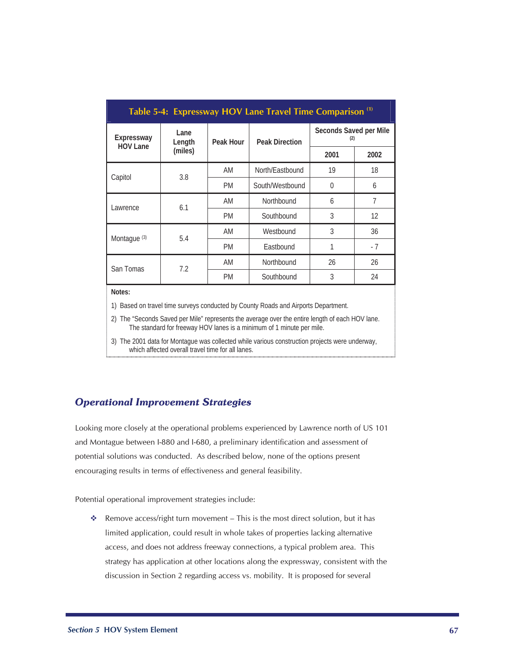| Table 5-4: Expressway HOV Lane Travel Time Comparison <sup>(1)</sup> |                           |           |                       |                               |                |  |  |
|----------------------------------------------------------------------|---------------------------|-----------|-----------------------|-------------------------------|----------------|--|--|
| Expressway<br><b>HOV Lane</b>                                        | Lane<br>Length<br>(miles) | Peak Hour | <b>Peak Direction</b> | Seconds Saved per Mile<br>(2) |                |  |  |
|                                                                      |                           |           |                       | 2001                          | 2002           |  |  |
| Capitol                                                              | 3.8                       | AM        | North/Eastbound       | 19                            | 18             |  |  |
|                                                                      |                           | <b>PM</b> | South/Westbound       | $\mathbf{0}$                  | 6              |  |  |
| Lawrence                                                             | 6.1                       | AM        | Northbound            | 6                             | $\overline{7}$ |  |  |
|                                                                      |                           | <b>PM</b> | Southbound            | 3                             | 12             |  |  |
| Montague <sup>(3)</sup>                                              | 5.4                       | AM        | Westbound             | 3                             | 36             |  |  |
|                                                                      |                           | <b>PM</b> | Eastbound             |                               | $-7$           |  |  |
| San Tomas                                                            | 7.2                       | AM        | Northbound            | 26                            | 26             |  |  |
|                                                                      |                           | <b>PM</b> | Southbound            | 3                             | 24             |  |  |
| Notes:                                                               |                           |           |                       |                               |                |  |  |

1) Based on travel time surveys conducted by County Roads and Airports Department.

2) The "Seconds Saved per Mile" represents the average over the entire length of each HOV lane. The standard for freeway HOV lanes is a minimum of 1 minute per mile.

3) The 2001 data for Montague was collected while various construction projects were underway, which affected overall travel time for all lanes.

#### *Operational Improvement Strategies*

Looking more closely at the operational problems experienced by Lawrence north of US 101 and Montague between I-880 and I-680, a preliminary identification and assessment of potential solutions was conducted. As described below, none of the options present encouraging results in terms of effectiveness and general feasibility.

Potential operational improvement strategies include:

Remove access/right turn movement – This is the most direct solution, but it has limited application, could result in whole takes of properties lacking alternative access, and does not address freeway connections, a typical problem area. This strategy has application at other locations along the expressway, consistent with the discussion in Section 2 regarding access vs. mobility. It is proposed for several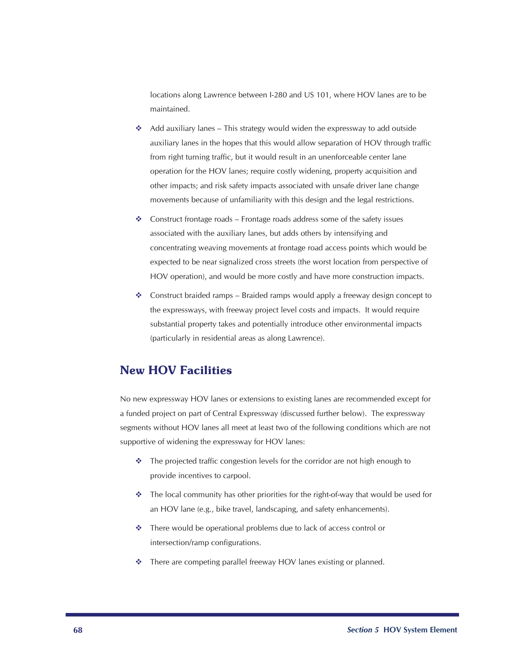locations along Lawrence between I-280 and US 101, where HOV lanes are to be maintained.

- Add auxiliary lanes This strategy would widen the expressway to add outside auxiliary lanes in the hopes that this would allow separation of HOV through traffic from right turning traffic, but it would result in an unenforceable center lane operation for the HOV lanes; require costly widening, property acquisition and other impacts; and risk safety impacts associated with unsafe driver lane change movements because of unfamiliarity with this design and the legal restrictions.
- $\triangleleft$  Construct frontage roads Frontage roads address some of the safety issues associated with the auxiliary lanes, but adds others by intensifying and concentrating weaving movements at frontage road access points which would be expected to be near signalized cross streets (the worst location from perspective of HOV operation), and would be more costly and have more construction impacts.
- Construct braided ramps Braided ramps would apply a freeway design concept to the expressways, with freeway project level costs and impacts. It would require substantial property takes and potentially introduce other environmental impacts (particularly in residential areas as along Lawrence).

## New HOV Facilities

No new expressway HOV lanes or extensions to existing lanes are recommended except for a funded project on part of Central Expressway (discussed further below). The expressway segments without HOV lanes all meet at least two of the following conditions which are not supportive of widening the expressway for HOV lanes:

- $\triangle$  The projected traffic congestion levels for the corridor are not high enough to provide incentives to carpool.
- $\cdot \cdot$  The local community has other priorities for the right-of-way that would be used for an HOV lane (e.g., bike travel, landscaping, and safety enhancements).
- There would be operational problems due to lack of access control or intersection/ramp configurations.
- There are competing parallel freeway HOV lanes existing or planned.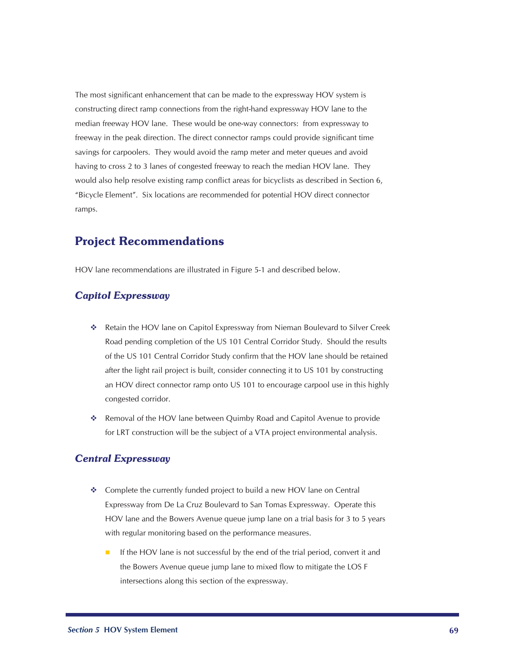The most significant enhancement that can be made to the expressway HOV system is constructing direct ramp connections from the right-hand expressway HOV lane to the median freeway HOV lane. These would be one-way connectors: from expressway to freeway in the peak direction. The direct connector ramps could provide significant time savings for carpoolers. They would avoid the ramp meter and meter queues and avoid having to cross 2 to 3 lanes of congested freeway to reach the median HOV lane. They would also help resolve existing ramp conflict areas for bicyclists as described in Section 6, "Bicycle Element". Six locations are recommended for potential HOV direct connector ramps.

#### Project Recommendations

HOV lane recommendations are illustrated in Figure 5-1 and described below.

#### *Capitol Expressway*

- Retain the HOV lane on Capitol Expressway from Nieman Boulevard to Silver Creek Road pending completion of the US 101 Central Corridor Study. Should the results of the US 101 Central Corridor Study confirm that the HOV lane should be retained after the light rail project is built, consider connecting it to US 101 by constructing an HOV direct connector ramp onto US 101 to encourage carpool use in this highly congested corridor.
- Removal of the HOV lane between Quimby Road and Capitol Avenue to provide for LRT construction will be the subject of a VTA project environmental analysis.

#### *Central Expressway*

- \* Complete the currently funded project to build a new HOV lane on Central Expressway from De La Cruz Boulevard to San Tomas Expressway. Operate this HOV lane and the Bowers Avenue queue jump lane on a trial basis for 3 to 5 years with regular monitoring based on the performance measures.
	- If the HOV lane is not successful by the end of the trial period, convert it and the Bowers Avenue queue jump lane to mixed flow to mitigate the LOS F intersections along this section of the expressway.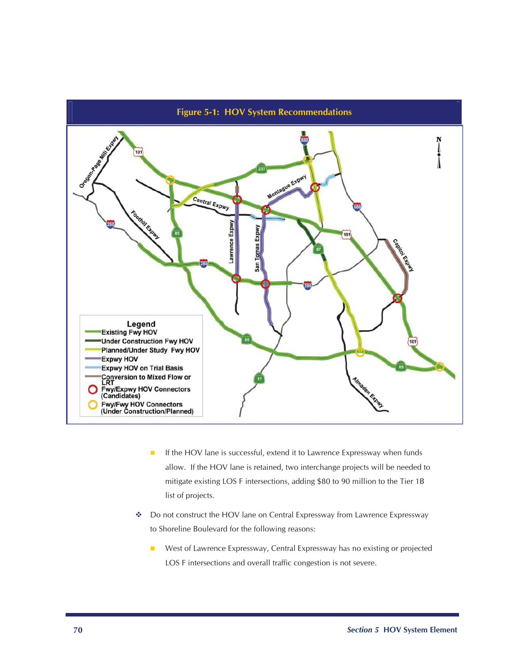

- If the HOV lane is successful, extend it to Lawrence Expressway when funds allow. If the HOV lane is retained, two interchange projects will be needed to mitigate existing LOS F intersections, adding \$80 to 90 million to the Tier 1B list of projects.
- Do not construct the HOV lane on Central Expressway from Lawrence Expressway to Shoreline Boulevard for the following reasons:
	- West of Lawrence Expressway, Central Expressway has no existing or projected LOS F intersections and overall traffic congestion is not severe.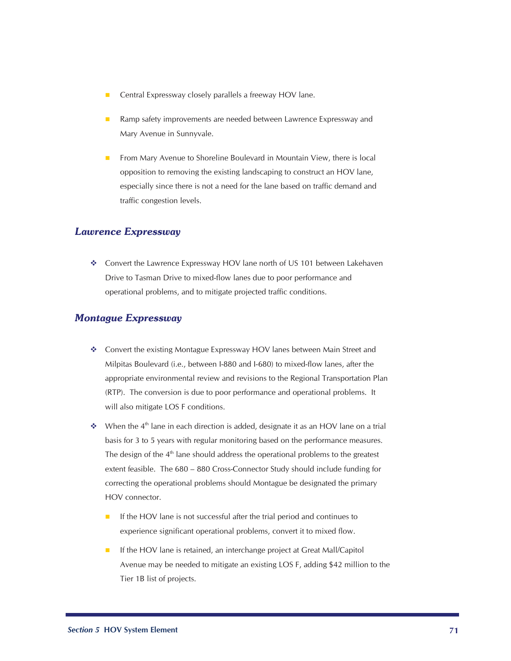- Central Expressway closely parallels a freeway HOV lane.
- Ramp safety improvements are needed between Lawrence Expressway and Mary Avenue in Sunnyvale.
- **From Mary Avenue to Shoreline Boulevard in Mountain View, there is local** opposition to removing the existing landscaping to construct an HOV lane, especially since there is not a need for the lane based on traffic demand and traffic congestion levels.

#### *Lawrence Expressway*

Convert the Lawrence Expressway HOV lane north of US 101 between Lakehaven Drive to Tasman Drive to mixed-flow lanes due to poor performance and operational problems, and to mitigate projected traffic conditions.

#### *Montague Expressway*

- Convert the existing Montague Expressway HOV lanes between Main Street and Milpitas Boulevard (i.e., between I-880 and I-680) to mixed-flow lanes, after the appropriate environmental review and revisions to the Regional Transportation Plan (RTP). The conversion is due to poor performance and operational problems. It will also mitigate LOS F conditions.
- $\bullet$  When the 4<sup>th</sup> lane in each direction is added, designate it as an HOV lane on a trial basis for 3 to 5 years with regular monitoring based on the performance measures. The design of the 4<sup>th</sup> lane should address the operational problems to the greatest extent feasible. The 680 – 880 Cross-Connector Study should include funding for correcting the operational problems should Montague be designated the primary HOV connector.
	- $\blacksquare$  If the HOV lane is not successful after the trial period and continues to experience significant operational problems, convert it to mixed flow.
	- **IF** If the HOV lane is retained, an interchange project at Great Mall/Capitol Avenue may be needed to mitigate an existing LOS F, adding \$42 million to the Tier 1B list of projects.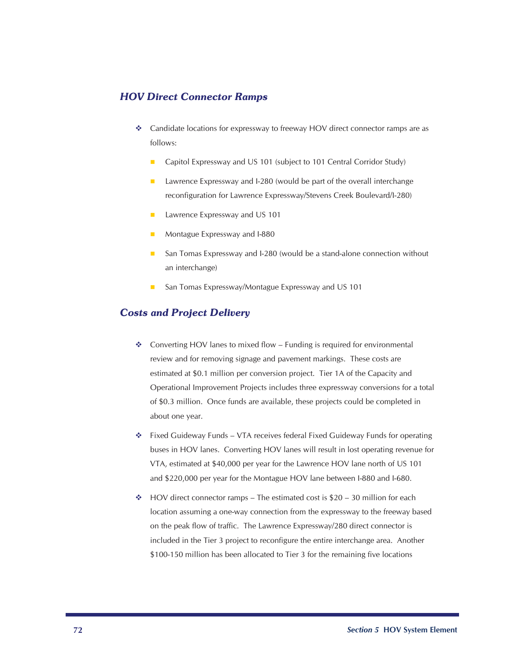#### *HOV Direct Connector Ramps*

- ◆ Candidate locations for expressway to freeway HOV direct connector ramps are as follows:
	- Capitol Expressway and US 101 (subject to 101 Central Corridor Study)
	- Lawrence Expressway and I-280 (would be part of the overall interchange reconfiguration for Lawrence Expressway/Stevens Creek Boulevard/I-280)
	- **Lawrence Expressway and US 101**
	- **Montague Expressway and I-880**
	- San Tomas Expressway and I-280 (would be a stand-alone connection without an interchange)
	- San Tomas Expressway/Montague Expressway and US 101

#### *Costs and Project Delivery*

- ◆ Converting HOV lanes to mixed flow Funding is required for environmental review and for removing signage and pavement markings. These costs are estimated at \$0.1 million per conversion project. Tier 1A of the Capacity and Operational Improvement Projects includes three expressway conversions for a total of \$0.3 million. Once funds are available, these projects could be completed in about one year.
- Fixed Guideway Funds VTA receives federal Fixed Guideway Funds for operating buses in HOV lanes. Converting HOV lanes will result in lost operating revenue for VTA, estimated at \$40,000 per year for the Lawrence HOV lane north of US 101 and \$220,000 per year for the Montague HOV lane between I-880 and I-680.
- $\div$  HOV direct connector ramps The estimated cost is \$20 30 million for each location assuming a one-way connection from the expressway to the freeway based on the peak flow of traffic. The Lawrence Expressway/280 direct connector is included in the Tier 3 project to reconfigure the entire interchange area. Another \$100-150 million has been allocated to Tier 3 for the remaining five locations